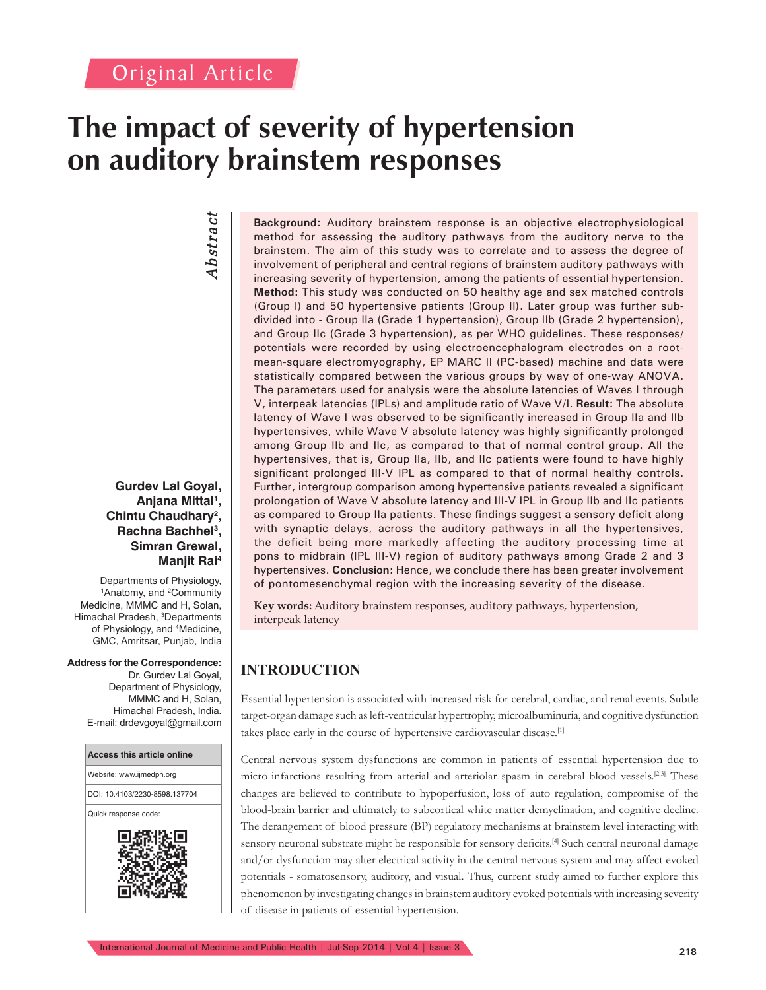# **The impact of severity of hypertension on auditory brainstem responses**

# *Abstract* Abstract

### **Gurdev Lal Goyal, Anjana Mittal1 , Chintu Chaudhary2 , Rachna Bachhel3 , Simran Grewal, Manjit Rai4**

Departments of Physiology, <sup>1</sup>Anatomy, and <sup>2</sup>Community Medicine, MMMC and H, Solan, Himachal Pradesh, <sup>3</sup>Departments of Physiology, and 4 Medicine, GMC, Amritsar, Punjab, India

**Address for the Correspondence:** Dr. Gurdev Lal Goyal, Department of Physiology, MMMC and H, Solan, Himachal Pradesh, India. E-mail: drdevgoyal@gmail.com



**Background:** Auditory brainstem response is an objective electrophysiological method for assessing the auditory pathways from the auditory nerve to the brainstem. The aim of this study was to correlate and to assess the degree of involvement of peripheral and central regions of brainstem auditory pathways with increasing severity of hypertension, among the patients of essential hypertension. **Method:** This study was conducted on 50 healthy age and sex matched controls (Group I) and 50 hypertensive patients (Group II). Later group was further subdivided into - Group IIa (Grade 1 hypertension), Group IIb (Grade 2 hypertension), and Group IIc (Grade 3 hypertension), as per WHO guidelines. These responses/ potentials were recorded by using electroencephalogram electrodes on a rootmean-square electromyography, EP MARC II (PC-based) machine and data were statistically compared between the various groups by way of one-way ANOVA. The parameters used for analysis were the absolute latencies of Waves I through V, interpeak latencies (IPLs) and amplitude ratio of Wave V/I. **Result:** The absolute latency of Wave I was observed to be significantly increased in Group IIa and IIb hypertensives, while Wave V absolute latency was highly significantly prolonged among Group IIb and IIc, as compared to that of normal control group. All the hypertensives, that is, Group IIa, IIb, and IIc patients were found to have highly significant prolonged III-V IPL as compared to that of normal healthy controls. Further, intergroup comparison among hypertensive patients revealed a significant prolongation of Wave V absolute latency and III-V IPL in Group IIb and IIc patients as compared to Group IIa patients. These findings suggest a sensory deficit along with synaptic delays, across the auditory pathways in all the hypertensives, the deficit being more markedly affecting the auditory processing time at pons to midbrain (IPL III-V) region of auditory pathways among Grade 2 and 3 hypertensives. **Conclusion:** Hence, we conclude there has been greater involvement of pontomesenchymal region with the increasing severity of the disease.

**Key words:** Auditory brainstem responses, auditory pathways, hypertension, interpeak latency

# **INTRODUCTION**

Essential hypertension is associated with increased risk for cerebral, cardiac, and renal events. Subtle target-organ damage such as left-ventricular hypertrophy, microalbuminuria, and cognitive dysfunction takes place early in the course of hypertensive cardiovascular disease.[1]

Central nervous system dysfunctions are common in patients of essential hypertension due to micro-infarctions resulting from arterial and arteriolar spasm in cerebral blood vessels.<sup>[2,3]</sup> These changes are believed to contribute to hypoperfusion, loss of auto regulation, compromise of the blood-brain barrier and ultimately to subcortical white matter demyelination, and cognitive decline. The derangement of blood pressure (BP) regulatory mechanisms at brainstem level interacting with sensory neuronal substrate might be responsible for sensory deficits.<sup>[4]</sup> Such central neuronal damage and/or dysfunction may alter electrical activity in the central nervous system and may affect evoked potentials - somatosensory, auditory, and visual. Thus, current study aimed to further explore this phenomenon by investigating changes in brainstem auditory evoked potentials with increasing severity of disease in patients of essential hypertension.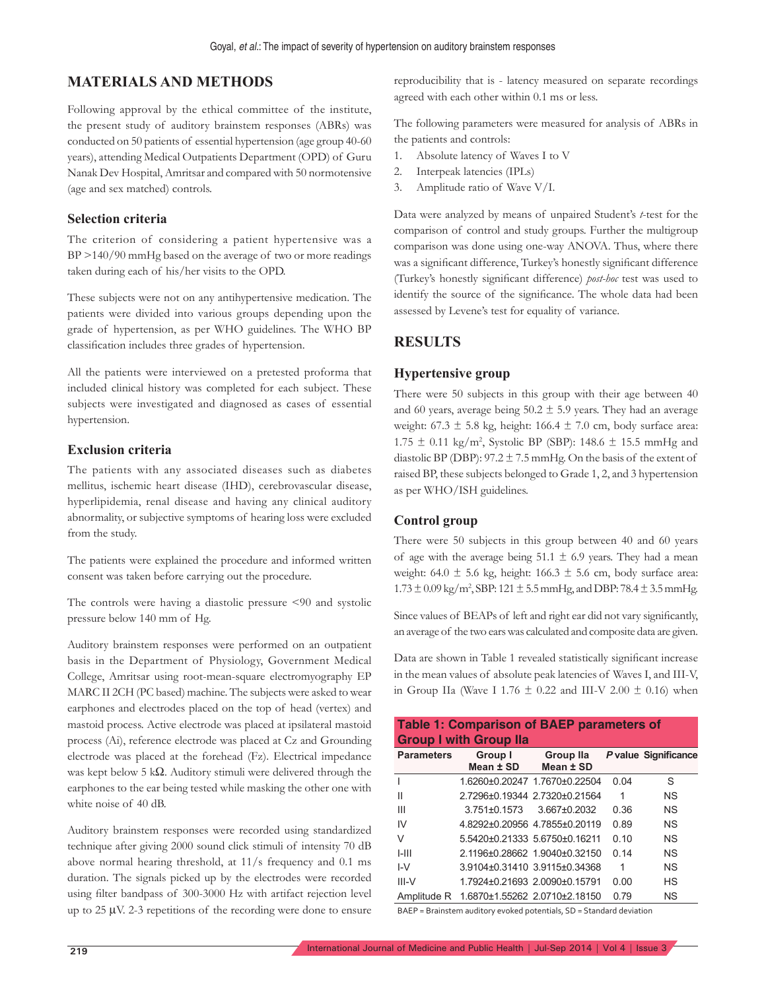# **MATERIALS AND METHODS**

Following approval by the ethical committee of the institute, the present study of auditory brainstem responses (ABRs) was conducted on 50 patients of essential hypertension (age group 40-60 years), attending Medical Outpatients Department (OPD) of Guru Nanak Dev Hospital, Amritsar and compared with 50 normotensive (age and sex matched) controls.

#### **Selection criteria**

The criterion of considering a patient hypertensive was a BP >140/90 mmHg based on the average of two or more readings taken during each of his/her visits to the OPD.

These subjects were not on any antihypertensive medication. The patients were divided into various groups depending upon the grade of hypertension, as per WHO guidelines. The WHO BP classification includes three grades of hypertension.

All the patients were interviewed on a pretested proforma that included clinical history was completed for each subject. These subjects were investigated and diagnosed as cases of essential hypertension.

#### **Exclusion criteria**

The patients with any associated diseases such as diabetes mellitus, ischemic heart disease (IHD), cerebrovascular disease, hyperlipidemia, renal disease and having any clinical auditory abnormality, or subjective symptoms of hearing loss were excluded from the study.

The patients were explained the procedure and informed written consent was taken before carrying out the procedure.

The controls were having a diastolic pressure <90 and systolic pressure below 140 mm of Hg.

Auditory brainstem responses were performed on an outpatient basis in the Department of Physiology, Government Medical College, Amritsar using root-mean-square electromyography EP MARC II 2CH (PC based) machine. The subjects were asked to wear earphones and electrodes placed on the top of head (vertex) and mastoid process. Active electrode was placed at ipsilateral mastoid process (Ai), reference electrode was placed at Cz and Grounding electrode was placed at the forehead (Fz). Electrical impedance was kept below 5 k $\Omega$ . Auditory stimuli were delivered through the earphones to the ear being tested while masking the other one with white noise of 40 dB.

Auditory brainstem responses were recorded using standardized technique after giving 2000 sound click stimuli of intensity 70 dB above normal hearing threshold, at 11/s frequency and 0.1 ms duration. The signals picked up by the electrodes were recorded using filter bandpass of 300-3000 Hz with artifact rejection level up to  $25 \mu V$ . 2-3 repetitions of the recording were done to ensure reproducibility that is - latency measured on separate recordings agreed with each other within 0.1 ms or less.

The following parameters were measured for analysis of ABRs in the patients and controls:

- 1. Absolute latency of Waves I to V
- 2. Interpeak latencies (IPLs)
- 3. Amplitude ratio of Wave V/I.

Data were analyzed by means of unpaired Student's *t*-test for the comparison of control and study groups. Further the multigroup comparison was done using one-way ANOVA. Thus, where there was a significant difference, Turkey's honestly significant difference (Turkey's honestly significant difference) *post-hoc* test was used to identify the source of the significance. The whole data had been assessed by Levene's test for equality of variance.

# **RESULTS**

#### **Hypertensive group**

There were 50 subjects in this group with their age between 40 and 60 years, average being  $50.2 \pm 5.9$  years. They had an average weight:  $67.3 \pm 5.8$  kg, height:  $166.4 \pm 7.0$  cm, body surface area:  $1.75 \pm 0.11 \text{ kg/m}^2$ , Systolic BP (SBP): 148.6  $\pm$  15.5 mmHg and diastolic BP (DBP):  $97.2 \pm 7.5$  mmHg. On the basis of the extent of raised BP, these subjects belonged to Grade 1, 2, and 3 hypertension as per WHO/ISH guidelines.

#### **Control group**

There were 50 subjects in this group between 40 and 60 years of age with the average being  $51.1 \pm 6.9$  years. They had a mean weight: 64.0  $\pm$  5.6 kg, height: 166.3  $\pm$  5.6 cm, body surface area:  $1.73 \pm 0.09$  kg/m<sup>2</sup>, SBP: 121  $\pm$  5.5 mmHg, and DBP: 78.4  $\pm$  3.5 mmHg.

Since values of BEAPs of left and right ear did not vary significantly, an average of the two ears was calculated and composite data are given.

Data are shown in Table 1 revealed statistically significant increase in the mean values of absolute peak latencies of Waves I, and III-V, in Group IIa (Wave I 1.76  $\pm$  0.22 and III-V 2.00  $\pm$  0.16) when

| <b>Table 1: Comparison of BAEP parameters of</b><br><b>Group I with Group Ila</b> |                                           |                               |      |                      |
|-----------------------------------------------------------------------------------|-------------------------------------------|-------------------------------|------|----------------------|
| <b>Parameters</b>                                                                 | Group I<br>Mean ± SD                      | Group IIa<br>Mean ± SD        |      | P value Significance |
|                                                                                   |                                           | 16260+020247 17670+022504     | 0.04 | S                    |
| Ш                                                                                 |                                           | 2 7296+0 19344 2 7320+0 21564 | 1    | NS.                  |
| Ш                                                                                 | $3.751\pm0.1573$                          | $3.667 \pm 0.2032$            | 0.36 | <b>NS</b>            |
| IV                                                                                | 48292±02095647855±020119                  |                               | 0.89 | N <sub>S</sub>       |
| V                                                                                 | 5.5420±0.21333 5.6750±0.16211             |                               | 0.10 | N <sub>S</sub>       |
| $1-111$                                                                           |                                           | 2.1196±0.28662 1.9040±0.32150 | 0.14 | N <sub>S</sub>       |
| I-V                                                                               | 39104+03141039115+034368                  |                               | 1    | N.S                  |
| $III-V$                                                                           |                                           | 17924+02169320090+015791      | 0.00 | HS                   |
|                                                                                   | Amplitude R 1.6870±1.55262 2.0710±2.18150 |                               | 0.79 | <b>NS</b>            |

BAEP = Brainstem auditory evoked potentials, SD = Standard deviation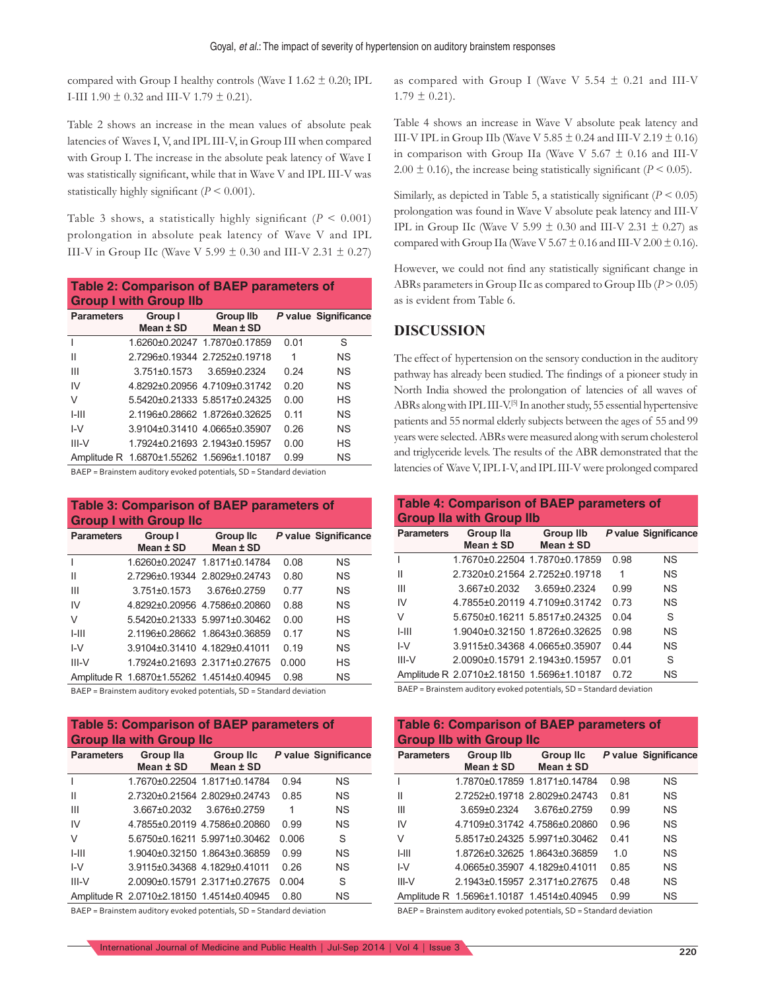compared with Group I healthy controls (Wave I  $1.62 \pm 0.20$ ; IPL I-III 1.90  $\pm$  0.32 and III-V 1.79  $\pm$  0.21).

Table 2 shows an increase in the mean values of absolute peak latencies of Waves I, V, and IPL III-V, in Group III when compared with Group I. The increase in the absolute peak latency of Wave I was statistically significant, while that in Wave V and IPL III-V was statistically highly significant  $(P \le 0.001)$ .

Table 3 shows, a statistically highly significant  $(P < 0.001)$ prolongation in absolute peak latency of Wave V and IPL III-V in Group IIc (Wave V 5.99  $\pm$  0.30 and III-V 2.31  $\pm$  0.27)

| <b>Table 2: Comparison of BAEP parameters of</b><br><b>Group I with Group IIb</b> |                                           |                               |      |                      |
|-----------------------------------------------------------------------------------|-------------------------------------------|-------------------------------|------|----------------------|
| <b>Parameters</b>                                                                 | Group I<br>Mean $±$ SD                    | <b>Group IIb</b><br>Mean ± SD |      | P value Significance |
|                                                                                   |                                           | 1.6260±0.20247 1.7870±0.17859 | 0.01 | S                    |
| Ш                                                                                 |                                           | 2.7296±0.19344 2.7252±0.19718 | 1    | <b>NS</b>            |
| Ш                                                                                 | $3.751 \pm 0.1573$                        | 3.659±0.2324                  | 0.24 | <b>NS</b>            |
| IV                                                                                |                                           | 48292+02095647109+031742      | 0.20 | <b>NS</b>            |
| V                                                                                 |                                           | 5 5420+0 21333 5 8517+0 24325 | 0.00 | HS                   |
| $1 - 111$                                                                         |                                           | 2 1196+0 28662 1 8726+0 32625 | 0.11 | <b>NS</b>            |
| $I-V$                                                                             | 3.9104±0.31410 4.0665±0.35907             |                               | 0.26 | <b>NS</b>            |
| $III-V$                                                                           |                                           | 1.7924±0.21693 2.1943±0.15957 | 0.00 | HS                   |
|                                                                                   | Amplitude R 1.6870±1.55262 1.5696±1.10187 |                               | 0.99 | <b>NS</b>            |

BAEP = Brainstem auditory evoked potentials, SD = Standard deviation

#### **Table 3: Comparison of BAEP parameters of Group I with Group IIc**

| <b>Parameters</b> | Group I<br>Mean ± SD                      | <b>Group IIc</b><br>Mean ± SD |       | P value Significance |
|-------------------|-------------------------------------------|-------------------------------|-------|----------------------|
|                   |                                           |                               |       |                      |
|                   |                                           | 1.6260±0.20247 1.8171±0.14784 | 0.08  | <b>NS</b>            |
| Ш                 |                                           | 2.7296±0.19344 2.8029±0.24743 | 0.80  | <b>NS</b>            |
| Ш                 | $3.751 \pm 0.1573$                        | 3.676±0.2759                  | 0.77  | <b>NS</b>            |
| IV                |                                           | 4.8292±0.20956 4.7586±0.20860 | 0.88  | <b>NS</b>            |
| V                 |                                           | 5 5420+0 21333 5 9971+0 30462 | 0.00  | <b>HS</b>            |
| $1 - 111$         |                                           | 2.1196±0.28662 1.8643±0.36859 | 0.17  | <b>NS</b>            |
| $I-V$             |                                           | 3 9104+0 31410 4 1829+0 41011 | 0.19  | <b>NS</b>            |
| $III-V$           |                                           | 1.7924±0.21693 2.3171±0.27675 | 0.000 | <b>HS</b>            |
|                   | Amplitude R 1.6870±1.55262 1.4514±0.40945 |                               | 0.98  | <b>NS</b>            |

BAEP = Brainstem auditory evoked potentials, SD = Standard deviation

#### **Table 5: Comparison of BAEP parameters of Group IIa with Group IIc**

| <b>Parameters</b> | Group IIa<br>Mean ± SD                    | <b>Group IIc</b><br>Mean ± SD |       | P value Significance |
|-------------------|-------------------------------------------|-------------------------------|-------|----------------------|
|                   |                                           | 1.7670±0.22504 1.8171±0.14784 | 0.94  | <b>NS</b>            |
| Ш                 |                                           | 2.7320±0.21564 2.8029±0.24743 | 0.85  | <b>NS</b>            |
| Ш                 | $3.667 \pm 0.2032$                        | 3.676±0.2759                  | 1     | <b>NS</b>            |
| IV                |                                           | 4.7855±0.20119 4.7586±0.20860 | 0.99  | <b>NS</b>            |
| V                 |                                           | 5.6750±0.16211 5.9971±0.30462 | 0.006 | S                    |
| $1 - 111$         |                                           | 1.9040±0.32150 1.8643±0.36859 | 0.99  | <b>NS</b>            |
| $I-V$             | 3.9115±0.34368 4.1829±0.41011             |                               | 0.26  | <b>NS</b>            |
| $III-V$           |                                           | 2.0090±0.15791 2.3171±0.27675 | 0.004 | S                    |
|                   | Amplitude R 2.0710±2.18150 1.4514±0.40945 |                               | 0.80  | <b>NS</b>            |

BAEP = Brainstem auditory evoked potentials, SD = Standard deviation

as compared with Group I (Wave V 5.54  $\pm$  0.21 and III-V  $1.79 \pm 0.21$ ).

Table 4 shows an increase in Wave V absolute peak latency and III-V IPL in Group IIb (Wave V 5.85  $\pm$  0.24 and III-V 2.19  $\pm$  0.16) in comparison with Group IIa (Wave V 5.67  $\pm$  0.16 and III-V 2.00  $\pm$  0.16), the increase being statistically significant ( $P \le 0.05$ ).

Similarly, as depicted in Table 5, a statistically significant  $(P < 0.05)$ prolongation was found in Wave V absolute peak latency and III-V IPL in Group IIc (Wave V 5.99  $\pm$  0.30 and III-V 2.31  $\pm$  0.27) as compared with Group IIa (Wave V 5.67  $\pm$  0.16 and III-V 2.00  $\pm$  0.16).

However, we could not find any statistically significant change in ABRs parameters in Group IIc as compared to Group IIb  $(P > 0.05)$ as is evident from Table 6.

### **DISCUSSION**

The effect of hypertension on the sensory conduction in the auditory pathway has already been studied. The findings of a pioneer study in North India showed the prolongation of latencies of all waves of ABRs along with IPL III-V.<sup>[5]</sup> In another study, 55 essential hypertensive patients and 55 normal elderly subjects between the ages of 55 and 99 years were selected. ABRs were measured along with serum cholesterol and triglyceride levels. The results of the ABR demonstrated that the latencies of Wave V, IPL I-V, and IPL III-V were prolonged compared

# **Table 4: Comparison of BAEP parameters of Group IIa with Group IIb**

| <b>Parameters</b> | Group IIa<br>Mean ± SD    | <b>Group IIb</b><br>Mean ± SD             |      | P value Significance |
|-------------------|---------------------------|-------------------------------------------|------|----------------------|
| $\overline{1}$    |                           | 1.7670±0.22504 1.7870±0.17859             | 0.98 | <b>NS</b>            |
| $\mathbf{H}$      |                           | 2.7320±0.21564 2.7252±0.19718             | 1    | <b>NS</b>            |
| Ш                 | 3.667±0.2032 3.659±0.2324 |                                           | 0.99 | <b>NS</b>            |
| IV                |                           | 4.7855±0.20119 4.7109±0.31742             | 0.73 | <b>NS</b>            |
| V                 |                           | 5.6750±0.16211 5.8517±0.24325             | 0.04 | S                    |
| $1-111$           |                           | 1.9040±0.32150 1.8726±0.32625             | 0.98 | <b>NS</b>            |
| $I-V$             |                           | 3.9115±0.34368 4.0665±0.35907             | 0.44 | <b>NS</b>            |
| $III-V$           |                           | 2.0090±0.15791 2.1943±0.15957             | 0.01 | S                    |
|                   |                           | Amplitude R 2.0710±2.18150 1.5696±1.10187 | 0.72 | <b>NS</b>            |
|                   |                           |                                           |      |                      |

BAEP = Brainstem auditory evoked potentials, SD = Standard deviation

| <b>Table 6: Comparison of BAEP parameters of</b><br><b>Group IIb with Group IIc</b> |                                           |                               |      |                      |  |
|-------------------------------------------------------------------------------------|-------------------------------------------|-------------------------------|------|----------------------|--|
| <b>Parameters</b>                                                                   | Group IIb<br>Mean ± SD                    | <b>Group IIc</b><br>Mean ± SD |      | P value Significance |  |
|                                                                                     |                                           | 1.7870±0.17859 1.8171±0.14784 | 0.98 | <b>NS</b>            |  |
| Ш                                                                                   |                                           | 2.7252±0.19718 2.8029±0.24743 | 0.81 | <b>NS</b>            |  |
| Ш                                                                                   | 3.659±0.2324                              | 3.676±0.2759                  | 0.99 | <b>NS</b>            |  |
| IV                                                                                  |                                           | 4.7109±0.31742 4.7586±0.20860 | 0.96 | <b>NS</b>            |  |
| V                                                                                   |                                           | 5.8517±0.24325 5.9971±0.30462 | 0.41 | <b>NS</b>            |  |
| $1 - 111$                                                                           |                                           | 1.8726±0.32625 1.8643±0.36859 | 1.0  | <b>NS</b>            |  |
| $I-V$                                                                               | 4.0665±0.35907 4.1829±0.41011             |                               | 0.85 | <b>NS</b>            |  |
| $III-V$                                                                             |                                           | 2.1943±0.15957 2.3171±0.27675 | 0.48 | <b>NS</b>            |  |
|                                                                                     | Amplitude R 1.5696±1.10187 1.4514±0.40945 |                               | 0.99 | <b>NS</b>            |  |

BAEP = Brainstem auditory evoked potentials, SD = Standard deviation